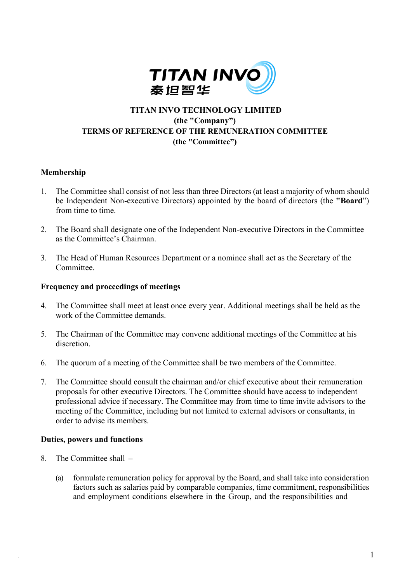

# **TITAN INVO TECHNOLOGY LIMITED (the "Company") TERMS OF REFERENCE OF THE REMUNERATION COMMITTEE (the "Committee")**

## **Membership**

- 1. The Committee shall consist of not less than three Directors (at least a majority of whom should be Independent Non-executive Directors) appointed by the board of directors (the **"Board**") from time to time.
- 2. The Board shall designate one of the Independent Non-executive Directors in the Committee as the Committee's Chairman.
- 3. The Head of Human Resources Department or a nominee shall act as the Secretary of the Committee.

#### **Frequency and proceedings of meetings**

- 4. The Committee shall meet at least once every year. Additional meetings shall be held as the work of the Committee demands.
- 5. The Chairman of the Committee may convene additional meetings of the Committee at his discretion.
- 6. The quorum of a meeting of the Committee shall be two members of the Committee.
- 7. The Committee should consult the chairman and/or chief executive about their remuneration proposals for other executive Directors. The Committee should have access to independent professional advice if necessary. The Committee may from time to time invite advisors to the meeting of the Committee, including but not limited to external advisors or consultants, in order to advise its members.

#### **Duties, powers and functions**

- 8. The Committee shall
	- (a) formulate remuneration policy for approval by the Board, and shall take into consideration factors such as salaries paid by comparable companies, time commitment, responsibilities and employment conditions elsewhere in the Group, and the responsibilities and

1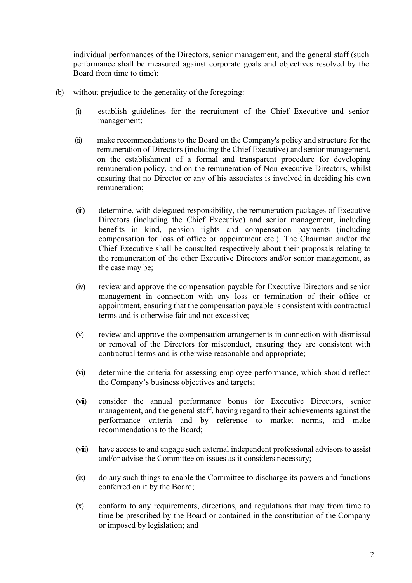individual performances of the Directors, senior management, and the general staff (such performance shall be measured against corporate goals and objectives resolved by the Board from time to time);

- (b) without prejudice to the generality of the foregoing:
	- (i) establish guidelines for the recruitment of the Chief Executive and senior management;
	- (ii) make recommendations to the Board on the Company's policy and structure for the remuneration of Directors (including the Chief Executive) and senior management, on the establishment of a formal and transparent procedure for developing remuneration policy, and on the remuneration of Non-executive Directors, whilst ensuring that no Director or any of his associates is involved in deciding his own remuneration;
	- (iii) determine, with delegated responsibility, the remuneration packages of Executive Directors (including the Chief Executive) and senior management, including benefits in kind, pension rights and compensation payments (including compensation for loss of office or appointment etc.). The Chairman and/or the Chief Executive shall be consulted respectively about their proposals relating to the remuneration of the other Executive Directors and/or senior management, as the case may be;
	- (iv) review and approve the compensation payable for Executive Directors and senior management in connection with any loss or termination of their office or appointment, ensuring that the compensation payable is consistent with contractual terms and is otherwise fair and not excessive;
	- (v) review and approve the compensation arrangements in connection with dismissal or removal of the Directors for misconduct, ensuring they are consistent with contractual terms and is otherwise reasonable and appropriate;
	- (vi) determine the criteria for assessing employee performance, which should reflect the Company's business objectives and targets;
	- (vii) consider the annual performance bonus for Executive Directors, senior management, and the general staff, having regard to their achievements against the performance criteria and by reference to market norms, and make recommendations to the Board;
	- (viii) have access to and engage such external independent professional advisors to assist and/or advise the Committee on issues as it considers necessary;
	- (ix) do any such things to enable the Committee to discharge its powers and functions conferred on it by the Board;
	- (x) conform to any requirements, directions, and regulations that may from time to time be prescribed by the Board or contained in the constitution of the Company or imposed by legislation; and